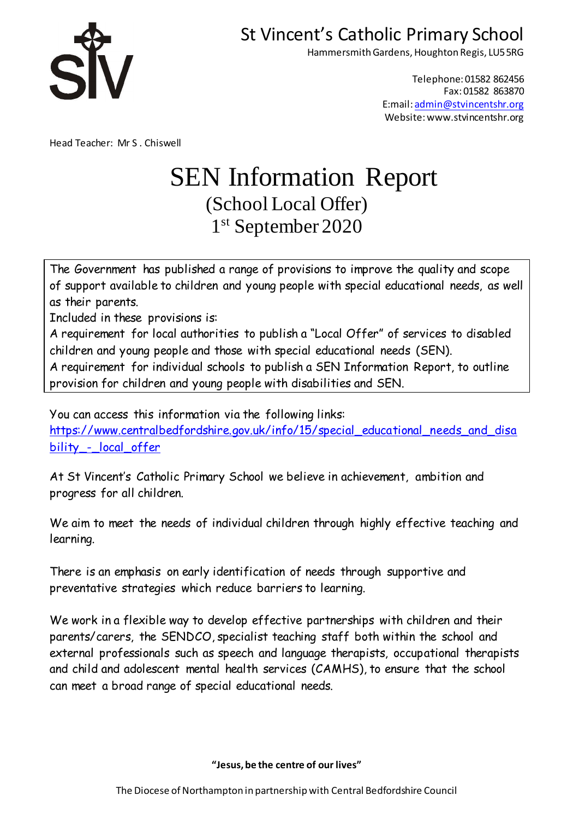

Hammersmith Gardens, Houghton Regis, LU5 5RG

Telephone: 01582 862456 Fax: 01582 863870 E:mail: [admin@stvincentshr.org](mailto:admin@stvincentshr.org) Website: www.stvincentshr.org

Head Teacher: Mr S . Chiswell

# SEN Information Report (School Local Offer) 1 st September 2020

The Government has published a range of provisions to improve the quality and scope of support available to children and young people with special educational needs, as well as their parents.

Included in these provisions is:

A requirement for local authorities to publish a "Local Offer" of services to disabled children and young people and those with special educational needs (SEN).

A requirement for individual schools to publish a SEN Information Report, to outline provision for children and young people with disabilities and SEN.

You can access this information via the following links:

[https://www.centralbedfordshire.gov.uk/info/15/special\\_educational\\_needs\\_and\\_disa](https://www.centralbedfordshire.gov.uk/info/15/special_educational_needs_and_disability_-_local_offer) [bility\\_-\\_local\\_offer](https://www.centralbedfordshire.gov.uk/info/15/special_educational_needs_and_disability_-_local_offer)

At St Vincent's Catholic Primary School we believe in achievement, ambition and progress for all children.

We aim to meet the needs of individual children through highly effective teaching and learning.

There is an emphasis on early identification of needs through supportive and preventative strategies which reduce barriers to learning.

We work in a flexible way to develop effective partnerships with children and their parents/carers, the SENDCO, specialist teaching staff both within the school and external professionals such as speech and language therapists, occupational therapists and child and adolescent mental health services (CAMHS), to ensure that the school can meet a broad range of special educational needs.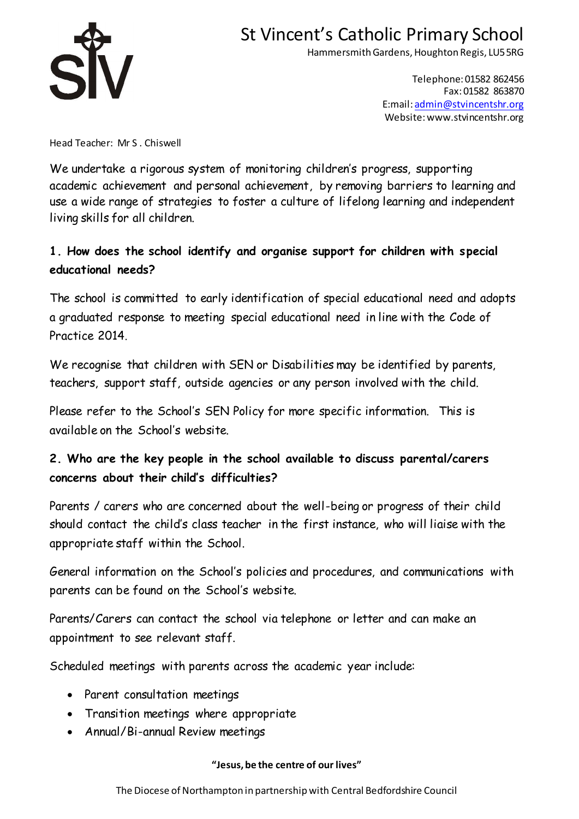

Hammersmith Gardens, Houghton Regis, LU5 5RG

Telephone: 01582 862456 Fax: 01582 863870 E:mail: [admin@stvincentshr.org](mailto:admin@stvincentshr.org) Website: www.stvincentshr.org

Head Teacher: Mr S . Chiswell

We undertake a rigorous system of monitoring children's progress, supporting academic achievement and personal achievement, by removing barriers to learning and use a wide range of strategies to foster a culture of lifelong learning and independent living skills for all children.

### **1. How does the school identify and organise support for children with special educational needs?**

The school is committed to early identification of special educational need and adopts a graduated response to meeting special educational need in line with the Code of Practice 2014.

We recognise that children with SEN or Disabilities may be identified by parents, teachers, support staff, outside agencies or any person involved with the child.

Please refer to the School's SEN Policy for more specific information. This is available on the School's website.

## **2. Who are the key people in the school available to discuss parental/carers concerns about their child's difficulties?**

Parents / carers who are concerned about the well-being or progress of their child should contact the child's class teacher in the first instance, who will liaise with the appropriate staff within the School.

General information on the School's policies and procedures, and communications with parents can be found on the School's website.

Parents/Carers can contact the school via telephone or letter and can make an appointment to see relevant staff.

Scheduled meetings with parents across the academic year include:

- Parent consultation meetings
- Transition meetings where appropriate
- Annual/Bi-annual Review meetings

### **"Jesus, be the centre of our lives"**

The Diocese of Northampton in partnership with Central Bedfordshire Council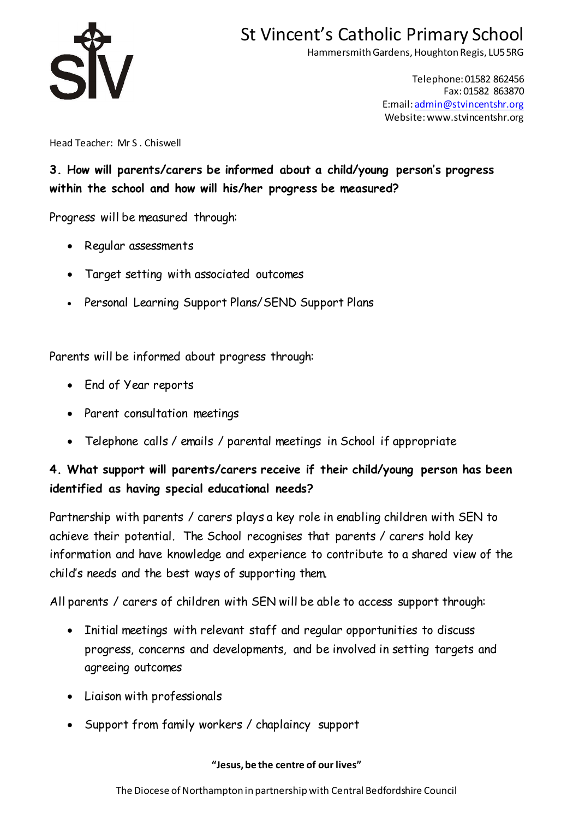

Hammersmith Gardens, Houghton Regis, LU5 5RG

Telephone: 01582 862456 Fax: 01582 863870 E:mail: [admin@stvincentshr.org](mailto:admin@stvincentshr.org) Website: www.stvincentshr.org

Head Teacher: Mr S . Chiswell

**3. How will parents/carers be informed about a child/young person's progress within the school and how will his/her progress be measured?**

Progress will be measured through:

- Regular assessments
- Target setting with associated outcomes
- Personal Learning Support Plans/SEND Support Plans

Parents will be informed about progress through:

- End of Year reports
- Parent consultation meetings
- Telephone calls / emails / parental meetings in School if appropriate

## **4. What support will parents/carers receive if their child/young person has been identified as having special educational needs?**

Partnership with parents / carers plays a key role in enabling children with SEN to achieve their potential. The School recognises that parents / carers hold key information and have knowledge and experience to contribute to a shared view of the child's needs and the best ways of supporting them.

All parents / carers of children with SEN will be able to access support through:

- Initial meetings with relevant staff and regular opportunities to discuss progress, concerns and developments, and be involved in setting targets and agreeing outcomes
- Liaison with professionals
- Support from family workers / chaplaincy support

### **"Jesus, be the centre of our lives"**

The Diocese of Northampton in partnership with Central Bedfordshire Council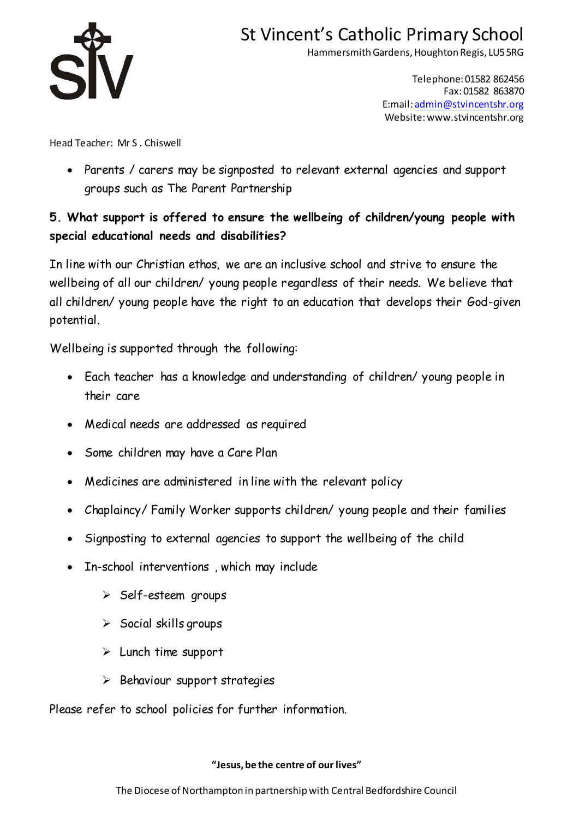

Hammersmith Gardens, Houghton Regis, LU5 5RG

Telephone: 01582 862456 Fax: 01582 863870 E:mail: [admin@stvincentshr.org](mailto:admin@stvincentshr.org) Website: www.stvincentshr.org

Head Teacher: Mr S . Chiswell

• Parents / carers may be signposted to relevant external agencies and support groups such as The Parent Partnership

## **5. What support is offered to ensure the wellbeing of children/young people with special educational needs and disabilities?**

In line with our Christian ethos, we are an inclusive school and strive to ensure the wellbeing of all our children/ young people regardless of their needs. We believe that all children/ young people have the right to an education that develops their God-given potential.

Wellbeing is supported through the following:

- Each teacher has a knowledge and understanding of children/ young people in their care
- Medical needs are addressed as required
- Some children may have a Care Plan
- Medicines are administered in line with the relevant policy
- Chaplaincy/ Family Worker supports children/ young people and their families
- Signposting to external agencies to support the wellbeing of the child
- In-school interventions , which may include
	- ➢ Self-esteem groups
	- $\triangleright$  Social skills groups
	- ➢ Lunch time support
	- ➢ Behaviour support strategies

Please refer to school policies for further information.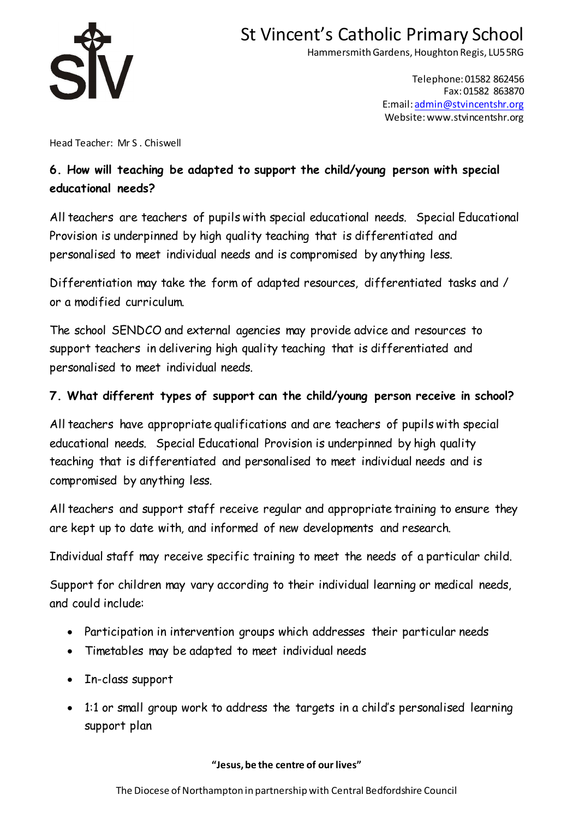

Hammersmith Gardens, Houghton Regis, LU5 5RG

Telephone: 01582 862456 Fax: 01582 863870 E:mail: [admin@stvincentshr.org](mailto:admin@stvincentshr.org) Website: www.stvincentshr.org

Head Teacher: Mr S . Chiswell

## **6. How will teaching be adapted to support the child/young person with special educational needs?**

All teachers are teachers of pupils with special educational needs. Special Educational Provision is underpinned by high quality teaching that is differentiated and personalised to meet individual needs and is compromised by anything less.

Differentiation may take the form of adapted resources, differentiated tasks and / or a modified curriculum.

The school SENDCO and external agencies may provide advice and resources to support teachers in delivering high quality teaching that is differentiated and personalised to meet individual needs.

### **7. What different types of support can the child/young person receive in school?**

All teachers have appropriate qualifications and are teachers of pupils with special educational needs. Special Educational Provision is underpinned by high quality teaching that is differentiated and personalised to meet individual needs and is compromised by anything less.

All teachers and support staff receive regular and appropriate training to ensure they are kept up to date with, and informed of new developments and research.

Individual staff may receive specific training to meet the needs of a particular child.

Support for children may vary according to their individual learning or medical needs, and could include:

- Participation in intervention groups which addresses their particular needs
- Timetables may be adapted to meet individual needs
- In-class support
- 1:1 or small group work to address the targets in a child's personalised learning support plan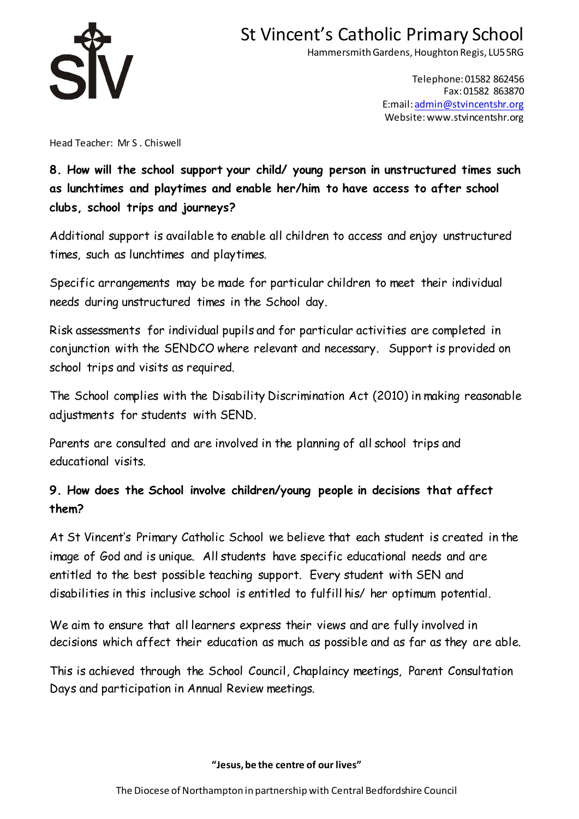

Hammersmith Gardens, Houghton Regis, LU5 5RG

Telephone: 01582 862456 Fax: 01582 863870 E:mail: [admin@stvincentshr.org](mailto:admin@stvincentshr.org) Website: www.stvincentshr.org

Head Teacher: Mr S . Chiswell

## **8. How will the school support your child/ young person in unstructured times such as lunchtimes and playtimes and enable her/him to have access to after school clubs, school trips and journeys?**

Additional support is available to enable all children to access and enjoy unstructured times, such as lunchtimes and playtimes.

Specific arrangements may be made for particular children to meet their individual needs during unstructured times in the School day.

Risk assessments for individual pupils and for particular activities are completed in conjunction with the SENDCO where relevant and necessary. Support is provided on school trips and visits as required.

The School complies with the Disability Discrimination Act (2010) in making reasonable adjustments for students with SEND.

Parents are consulted and are involved in the planning of all school trips and educational visits.

## **9. How does the School involve children/young people in decisions that affect them?**

At St Vincent's Primary Catholic School we believe that each student is created in the image of God and is unique. All students have specific educational needs and are entitled to the best possible teaching support. Every student with SEN and disabilities in this inclusive school is entitled to fulfill his/ her optimum potential.

We aim to ensure that all learners express their views and are fully involved in decisions which affect their education as much as possible and as far as they are able.

This is achieved through the School Council, Chaplaincy meetings, Parent Consultation Days and participation in Annual Review meetings.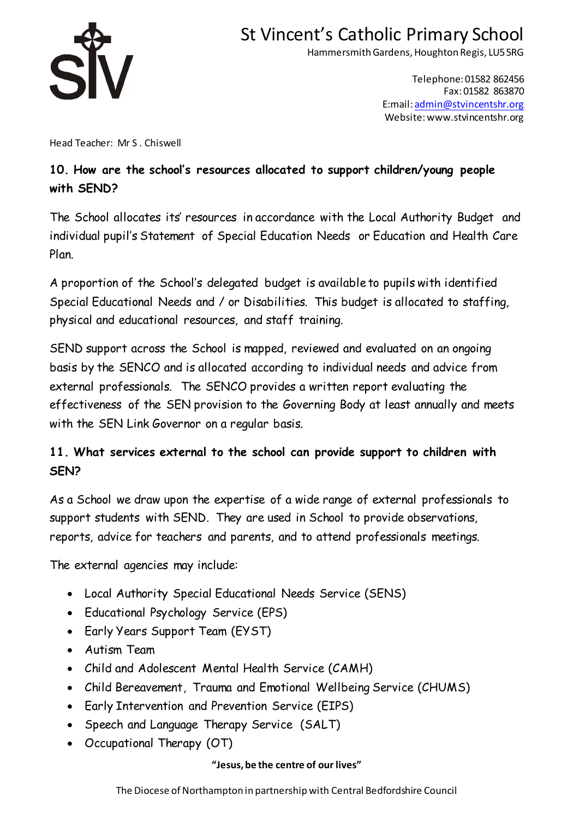

Hammersmith Gardens, Houghton Regis, LU5 5RG

Telephone: 01582 862456 Fax: 01582 863870 E:mail: [admin@stvincentshr.org](mailto:admin@stvincentshr.org) Website: www.stvincentshr.org

Head Teacher: Mr S . Chiswell

## **10. How are the school's resources allocated to support children/young people with SEND?**

The School allocates its' resources in accordance with the Local Authority Budget and individual pupil's Statement of Special Education Needs or Education and Health Care Plan.

A proportion of the School's delegated budget is available to pupils with identified Special Educational Needs and / or Disabilities. This budget is allocated to staffing, physical and educational resources, and staff training.

SEND support across the School is mapped, reviewed and evaluated on an ongoing basis by the SENCO and is allocated according to individual needs and advice from external professionals. The SENCO provides a written report evaluating the effectiveness of the SEN provision to the Governing Body at least annually and meets with the SEN Link Governor on a regular basis.

## **11. What services external to the school can provide support to children with SEN?**

As a School we draw upon the expertise of a wide range of external professionals to support students with SEND. They are used in School to provide observations, reports, advice for teachers and parents, and to attend professionals meetings.

The external agencies may include:

- Local Authority Special Educational Needs Service (SENS)
- Educational Psychology Service (EPS)
- Early Years Support Team (EYST)
- Autism Team
- Child and Adolescent Mental Health Service (CAMH)
- Child Bereavement, Trauma and Emotional Wellbeing Service (CHUMS)
- Early Intervention and Prevention Service (EIPS)
- Speech and Language Therapy Service (SALT)
- Occupational Therapy (OT)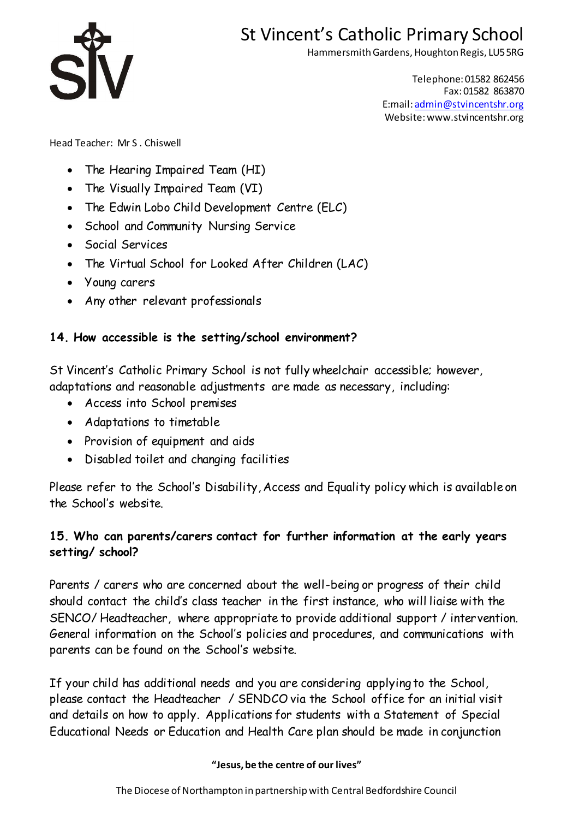

Hammersmith Gardens, Houghton Regis, LU5 5RG

Telephone: 01582 862456 Fax: 01582 863870 E:mail: [admin@stvincentshr.org](mailto:admin@stvincentshr.org) Website: www.stvincentshr.org

Head Teacher: Mr S . Chiswell

- The Hearing Impaired Team (HI)
- The Visually Impaired Team (VI)
- The Edwin Lobo Child Development Centre (ELC)
- School and Community Nursing Service
- Social Services
- The Virtual School for Looked After Children (LAC)
- Young carers
- Any other relevant professionals

### **14. How accessible is the setting/school environment?**

St Vincent's Catholic Primary School is not fully wheelchair accessible; however, adaptations and reasonable adjustments are made as necessary, including:

- Access into School premises
- Adaptations to timetable
- Provision of equipment and aids
- Disabled toilet and changing facilities

Please refer to the School's Disability, Access and Equality policy which is available on the School's website.

### **15. Who can parents/carers contact for further information at the early years setting/ school?**

Parents / carers who are concerned about the well-being or progress of their child should contact the child's class teacher in the first instance, who will liaise with the SENCO/ Headteacher, where appropriate to provide additional support / intervention. General information on the School's policies and procedures, and communications with parents can be found on the School's website.

If your child has additional needs and you are considering applying to the School, please contact the Headteacher / SENDCO via the School office for an initial visit and details on how to apply. Applications for students with a Statement of Special Educational Needs or Education and Health Care plan should be made in conjunction